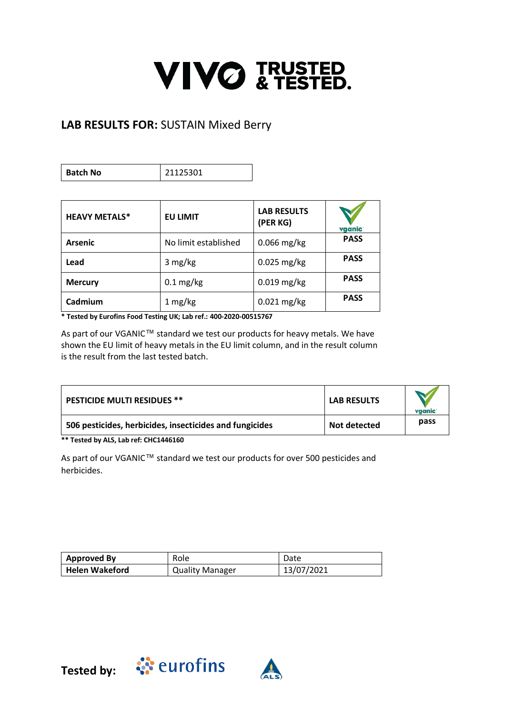## **VIVO & TESTED.**

## **LAB RESULTS FOR:** SUSTAIN Mixed Berry

**Batch No** 21125301

| <b>HEAVY METALS*</b> | <b>EU LIMIT</b>      | <b>LAB RESULTS</b><br>(PER KG) | vganic      |
|----------------------|----------------------|--------------------------------|-------------|
| <b>Arsenic</b>       | No limit established | $0.066$ mg/kg                  | <b>PASS</b> |
| Lead                 | 3 mg/kg              | $0.025$ mg/kg                  | <b>PASS</b> |
| <b>Mercury</b>       | $0.1 \text{ mg/kg}$  | $0.019$ mg/kg                  | <b>PASS</b> |
| Cadmium              | 1 mg/kg              | $0.021$ mg/kg                  | <b>PASS</b> |

**\* Tested by Eurofins Food Testing UK; Lab ref.: 400-2020-00515767**

As part of our VGANIC™ standard we test our products for heavy metals. We have shown the EU limit of heavy metals in the EU limit column, and in the result column is the result from the last tested batch.

| <b>PESTICIDE MULTI RESIDUES **</b>                      | <b>LAB RESULTS</b> | vganic |
|---------------------------------------------------------|--------------------|--------|
| 506 pesticides, herbicides, insecticides and fungicides | Not detected       | pass   |

**\*\* Tested by ALS, Lab ref: CHC1446160**

As part of our VGANIC™ standard we test our products for over 500 pesticides and herbicides.

| <b>Approved By</b>    | Role                   | Date       |
|-----------------------|------------------------|------------|
| <b>Helen Wakeford</b> | <b>Quality Manager</b> | 13/07/2021 |